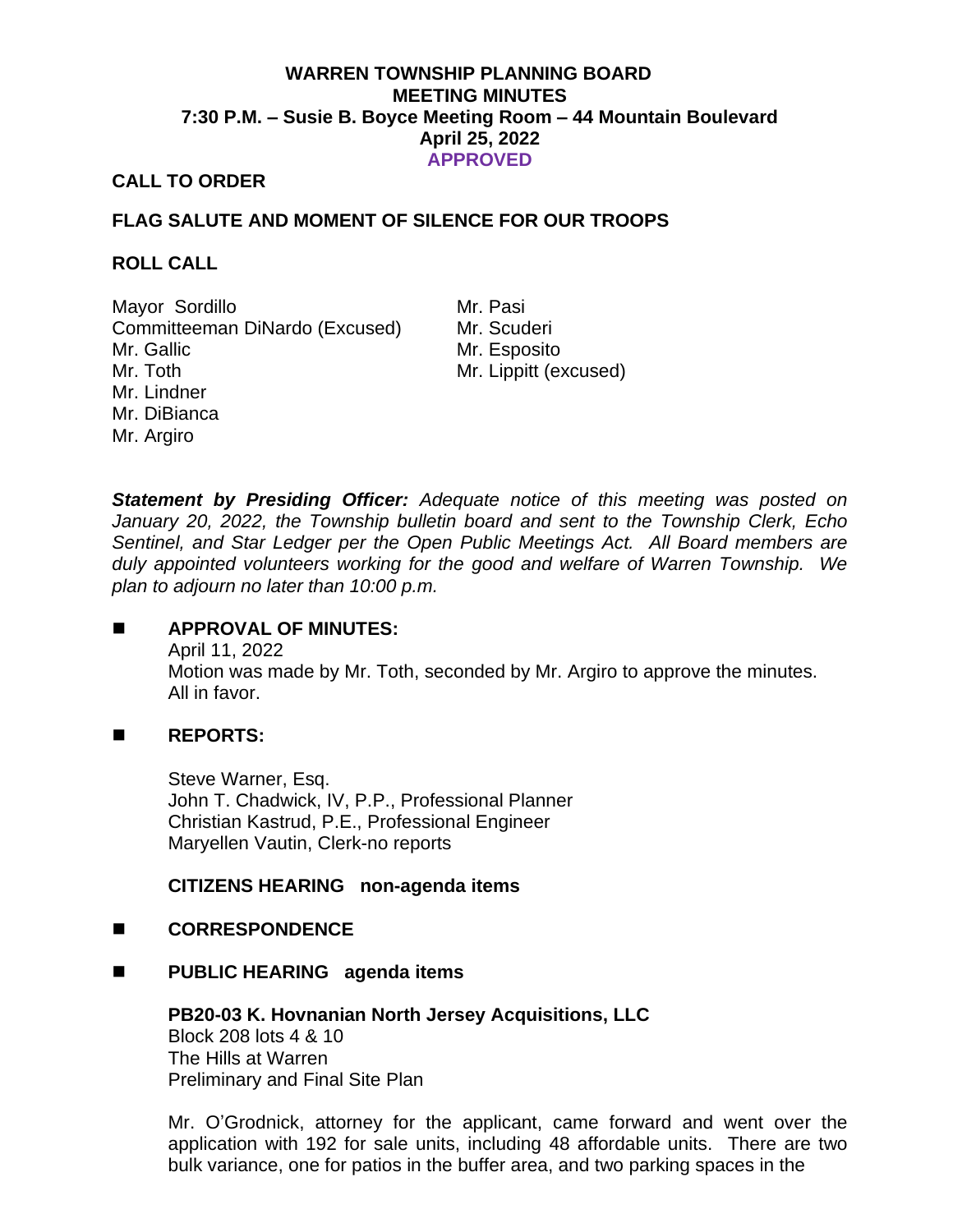# **WARREN TOWNSHIP PLANNING BOARD MEETING MINUTES 7:30 P.M. – Susie B. Boyce Meeting Room – 44 Mountain Boulevard April 25, 2022 APPROVED**

# **CALL TO ORDER**

# **FLAG SALUTE AND MOMENT OF SILENCE FOR OUR TROOPS**

#### **ROLL CALL**

Mayor Sordillo Mr. Pasi Committeeman DiNardo (Excused) Mr. Scuderi Mr. Gallic Mr. Toth Mr. Lindner Mr. DiBianca Mr. Argiro

Mr. Esposito Mr. Lippitt (excused)

*Statement by Presiding Officer: Adequate notice of this meeting was posted on January 20, 2022, the Township bulletin board and sent to the Township Clerk, Echo Sentinel, and Star Ledger per the Open Public Meetings Act. All Board members are duly appointed volunteers working for the good and welfare of Warren Township. We plan to adjourn no later than 10:00 p.m.*

## ◼ **APPROVAL OF MINUTES:**

April 11, 2022 Motion was made by Mr. Toth, seconded by Mr. Argiro to approve the minutes. All in favor.

## ◼ **REPORTS:**

Steve Warner, Esq. John T. Chadwick, IV, P.P., Professional Planner Christian Kastrud, P.E., Professional Engineer Maryellen Vautin, Clerk-no reports

## **CITIZENS HEARING non-agenda items**

## ◼ **CORRESPONDENCE**

◼ **PUBLIC HEARING agenda items**

**PB20-03 K. Hovnanian North Jersey Acquisitions, LLC** Block 208 lots 4 & 10 The Hills at Warren Preliminary and Final Site Plan

Mr. O'Grodnick, attorney for the applicant, came forward and went over the application with 192 for sale units, including 48 affordable units. There are two bulk variance, one for patios in the buffer area, and two parking spaces in the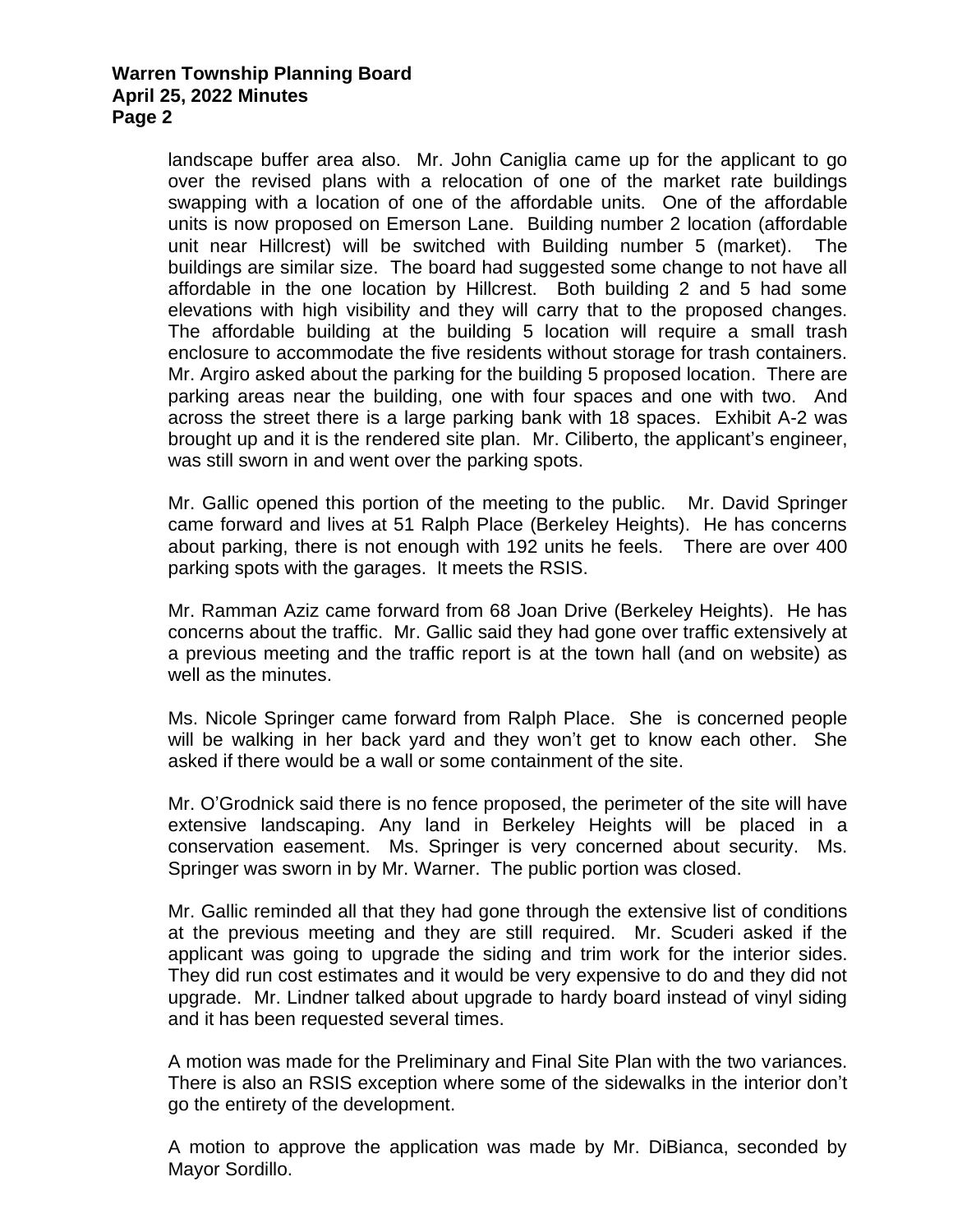landscape buffer area also. Mr. John Caniglia came up for the applicant to go over the revised plans with a relocation of one of the market rate buildings swapping with a location of one of the affordable units. One of the affordable units is now proposed on Emerson Lane. Building number 2 location (affordable unit near Hillcrest) will be switched with Building number 5 (market). The buildings are similar size. The board had suggested some change to not have all affordable in the one location by Hillcrest. Both building 2 and 5 had some elevations with high visibility and they will carry that to the proposed changes. The affordable building at the building 5 location will require a small trash enclosure to accommodate the five residents without storage for trash containers. Mr. Argiro asked about the parking for the building 5 proposed location. There are parking areas near the building, one with four spaces and one with two. And across the street there is a large parking bank with 18 spaces. Exhibit A-2 was brought up and it is the rendered site plan. Mr. Ciliberto, the applicant's engineer, was still sworn in and went over the parking spots.

Mr. Gallic opened this portion of the meeting to the public. Mr. David Springer came forward and lives at 51 Ralph Place (Berkeley Heights). He has concerns about parking, there is not enough with 192 units he feels. There are over 400 parking spots with the garages. It meets the RSIS.

Mr. Ramman Aziz came forward from 68 Joan Drive (Berkeley Heights). He has concerns about the traffic. Mr. Gallic said they had gone over traffic extensively at a previous meeting and the traffic report is at the town hall (and on website) as well as the minutes.

Ms. Nicole Springer came forward from Ralph Place. She is concerned people will be walking in her back yard and they won't get to know each other. She asked if there would be a wall or some containment of the site.

Mr. O'Grodnick said there is no fence proposed, the perimeter of the site will have extensive landscaping. Any land in Berkeley Heights will be placed in a conservation easement. Ms. Springer is very concerned about security. Ms. Springer was sworn in by Mr. Warner. The public portion was closed.

Mr. Gallic reminded all that they had gone through the extensive list of conditions at the previous meeting and they are still required. Mr. Scuderi asked if the applicant was going to upgrade the siding and trim work for the interior sides. They did run cost estimates and it would be very expensive to do and they did not upgrade. Mr. Lindner talked about upgrade to hardy board instead of vinyl siding and it has been requested several times.

A motion was made for the Preliminary and Final Site Plan with the two variances. There is also an RSIS exception where some of the sidewalks in the interior don't go the entirety of the development.

A motion to approve the application was made by Mr. DiBianca, seconded by Mayor Sordillo.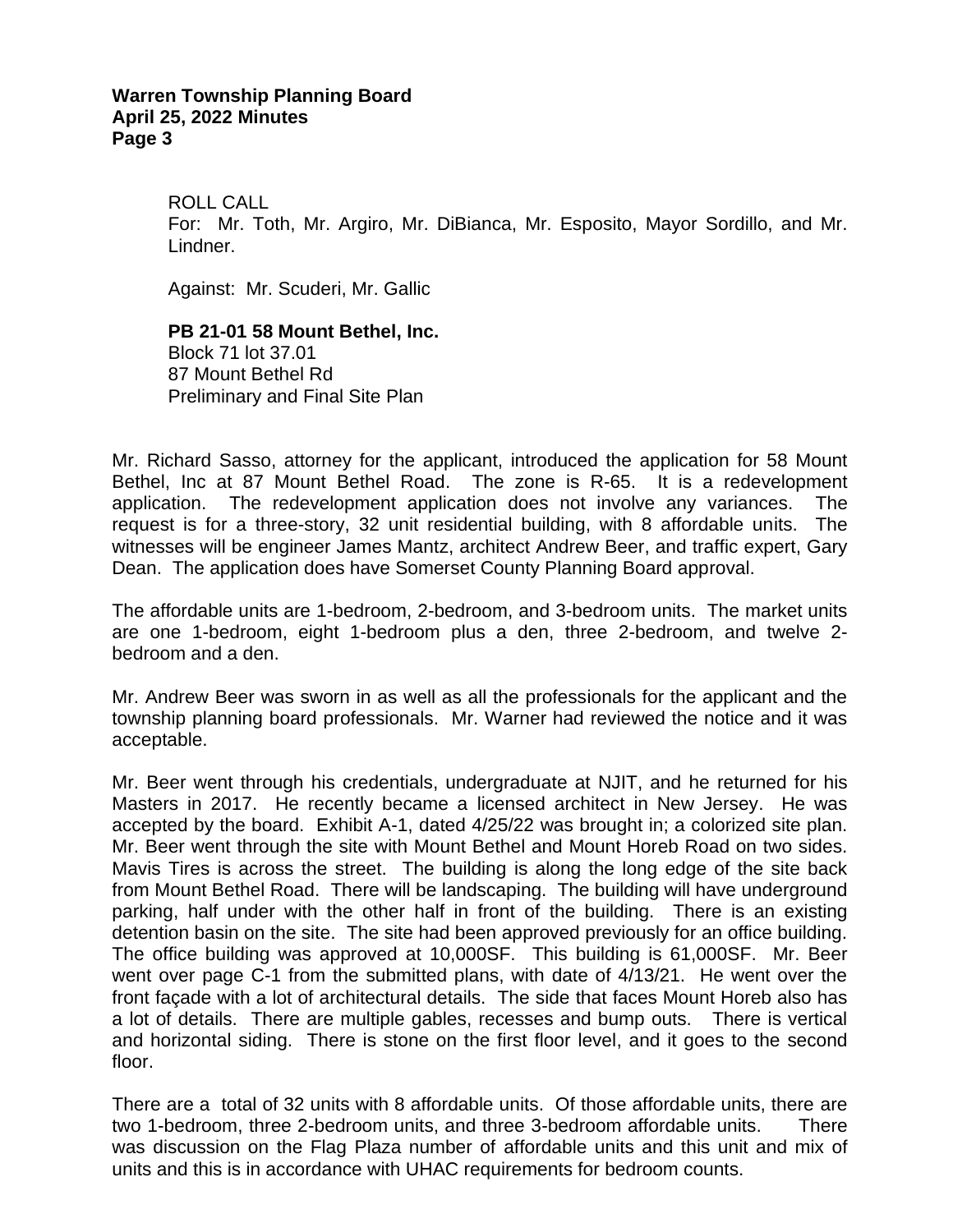ROLL CALL For: Mr. Toth, Mr. Argiro, Mr. DiBianca, Mr. Esposito, Mayor Sordillo, and Mr. Lindner.

Against: Mr. Scuderi, Mr. Gallic

**PB 21-01 58 Mount Bethel, Inc.** Block 71 lot 37.01 87 Mount Bethel Rd Preliminary and Final Site Plan

Mr. Richard Sasso, attorney for the applicant, introduced the application for 58 Mount Bethel, Inc at 87 Mount Bethel Road. The zone is R-65. It is a redevelopment application. The redevelopment application does not involve any variances. The request is for a three-story, 32 unit residential building, with 8 affordable units. The witnesses will be engineer James Mantz, architect Andrew Beer, and traffic expert, Gary Dean. The application does have Somerset County Planning Board approval.

The affordable units are 1-bedroom, 2-bedroom, and 3-bedroom units. The market units are one 1-bedroom, eight 1-bedroom plus a den, three 2-bedroom, and twelve 2 bedroom and a den.

Mr. Andrew Beer was sworn in as well as all the professionals for the applicant and the township planning board professionals. Mr. Warner had reviewed the notice and it was acceptable.

Mr. Beer went through his credentials, undergraduate at NJIT, and he returned for his Masters in 2017. He recently became a licensed architect in New Jersey. He was accepted by the board. Exhibit A-1, dated 4/25/22 was brought in; a colorized site plan. Mr. Beer went through the site with Mount Bethel and Mount Horeb Road on two sides. Mavis Tires is across the street. The building is along the long edge of the site back from Mount Bethel Road. There will be landscaping. The building will have underground parking, half under with the other half in front of the building. There is an existing detention basin on the site. The site had been approved previously for an office building. The office building was approved at 10,000SF. This building is 61,000SF. Mr. Beer went over page C-1 from the submitted plans, with date of 4/13/21. He went over the front façade with a lot of architectural details. The side that faces Mount Horeb also has a lot of details. There are multiple gables, recesses and bump outs. There is vertical and horizontal siding. There is stone on the first floor level, and it goes to the second floor.

There are a total of 32 units with 8 affordable units. Of those affordable units, there are two 1-bedroom, three 2-bedroom units, and three 3-bedroom affordable units. There was discussion on the Flag Plaza number of affordable units and this unit and mix of units and this is in accordance with UHAC requirements for bedroom counts.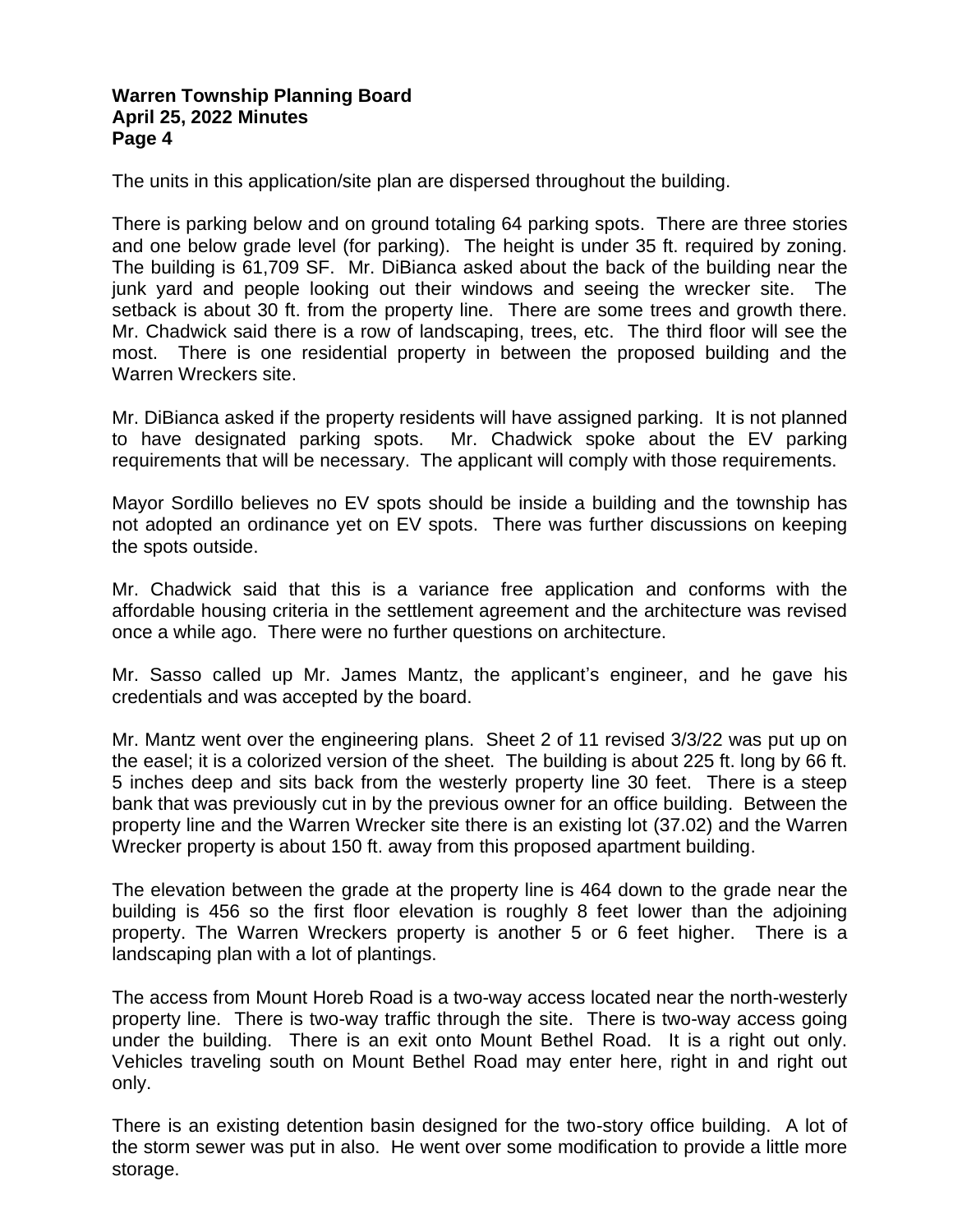The units in this application/site plan are dispersed throughout the building.

There is parking below and on ground totaling 64 parking spots. There are three stories and one below grade level (for parking). The height is under 35 ft. required by zoning. The building is 61,709 SF. Mr. DiBianca asked about the back of the building near the junk yard and people looking out their windows and seeing the wrecker site. The setback is about 30 ft. from the property line. There are some trees and growth there. Mr. Chadwick said there is a row of landscaping, trees, etc. The third floor will see the most. There is one residential property in between the proposed building and the Warren Wreckers site.

Mr. DiBianca asked if the property residents will have assigned parking. It is not planned to have designated parking spots. Mr. Chadwick spoke about the EV parking requirements that will be necessary. The applicant will comply with those requirements.

Mayor Sordillo believes no EV spots should be inside a building and the township has not adopted an ordinance yet on EV spots. There was further discussions on keeping the spots outside.

Mr. Chadwick said that this is a variance free application and conforms with the affordable housing criteria in the settlement agreement and the architecture was revised once a while ago. There were no further questions on architecture.

Mr. Sasso called up Mr. James Mantz, the applicant's engineer, and he gave his credentials and was accepted by the board.

Mr. Mantz went over the engineering plans. Sheet 2 of 11 revised 3/3/22 was put up on the easel; it is a colorized version of the sheet. The building is about 225 ft. long by 66 ft. 5 inches deep and sits back from the westerly property line 30 feet. There is a steep bank that was previously cut in by the previous owner for an office building. Between the property line and the Warren Wrecker site there is an existing lot (37.02) and the Warren Wrecker property is about 150 ft. away from this proposed apartment building.

The elevation between the grade at the property line is 464 down to the grade near the building is 456 so the first floor elevation is roughly 8 feet lower than the adjoining property. The Warren Wreckers property is another 5 or 6 feet higher. There is a landscaping plan with a lot of plantings.

The access from Mount Horeb Road is a two-way access located near the north-westerly property line. There is two-way traffic through the site. There is two-way access going under the building. There is an exit onto Mount Bethel Road. It is a right out only. Vehicles traveling south on Mount Bethel Road may enter here, right in and right out only.

There is an existing detention basin designed for the two-story office building. A lot of the storm sewer was put in also. He went over some modification to provide a little more storage.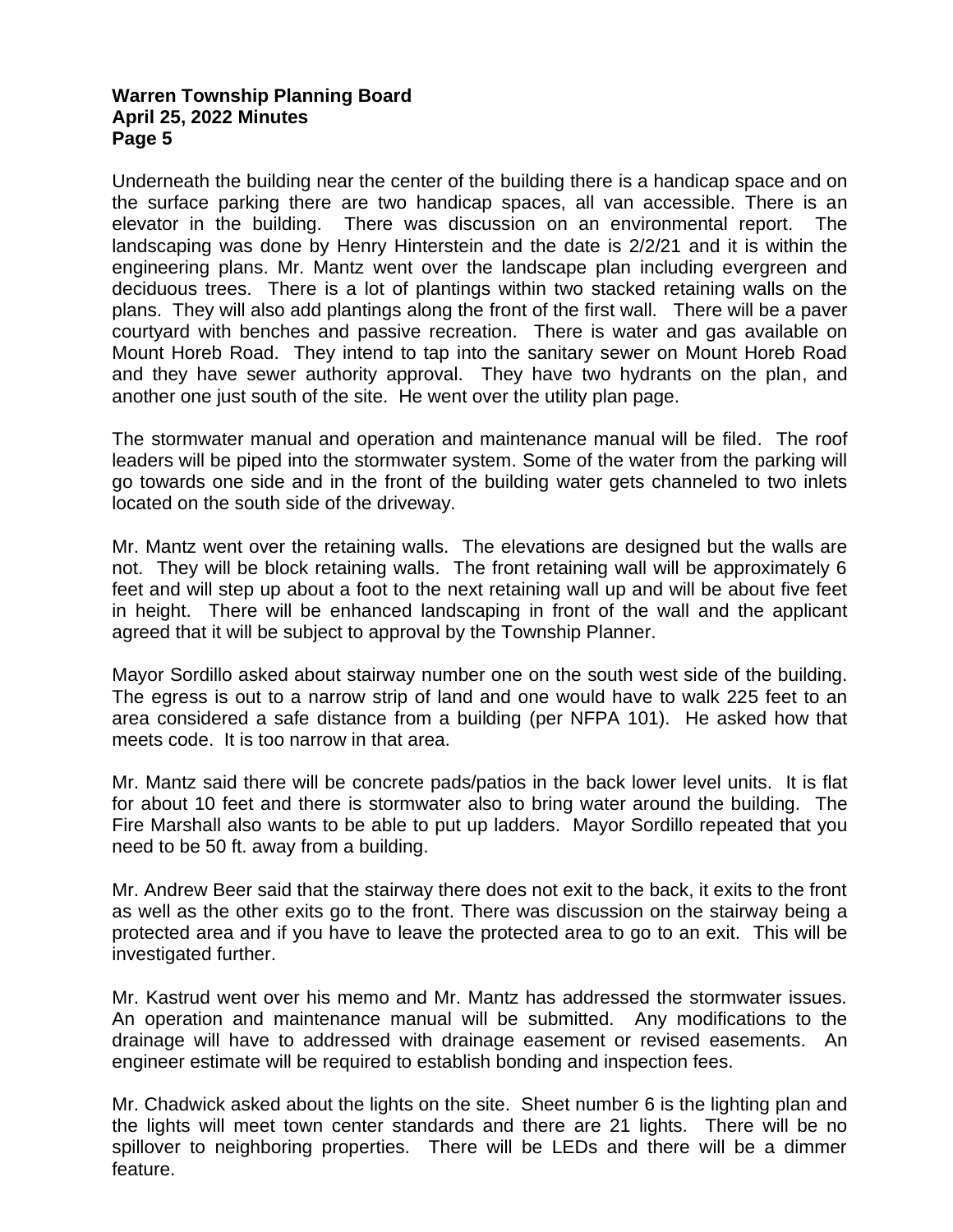Underneath the building near the center of the building there is a handicap space and on the surface parking there are two handicap spaces, all van accessible. There is an elevator in the building. There was discussion on an environmental report. The landscaping was done by Henry Hinterstein and the date is 2/2/21 and it is within the engineering plans. Mr. Mantz went over the landscape plan including evergreen and deciduous trees. There is a lot of plantings within two stacked retaining walls on the plans. They will also add plantings along the front of the first wall. There will be a paver courtyard with benches and passive recreation. There is water and gas available on Mount Horeb Road. They intend to tap into the sanitary sewer on Mount Horeb Road and they have sewer authority approval. They have two hydrants on the plan, and another one just south of the site. He went over the utility plan page.

The stormwater manual and operation and maintenance manual will be filed. The roof leaders will be piped into the stormwater system. Some of the water from the parking will go towards one side and in the front of the building water gets channeled to two inlets located on the south side of the driveway.

Mr. Mantz went over the retaining walls. The elevations are designed but the walls are not. They will be block retaining walls. The front retaining wall will be approximately 6 feet and will step up about a foot to the next retaining wall up and will be about five feet in height. There will be enhanced landscaping in front of the wall and the applicant agreed that it will be subject to approval by the Township Planner.

Mayor Sordillo asked about stairway number one on the south west side of the building. The egress is out to a narrow strip of land and one would have to walk 225 feet to an area considered a safe distance from a building (per NFPA 101). He asked how that meets code. It is too narrow in that area.

Mr. Mantz said there will be concrete pads/patios in the back lower level units. It is flat for about 10 feet and there is stormwater also to bring water around the building. The Fire Marshall also wants to be able to put up ladders. Mayor Sordillo repeated that you need to be 50 ft. away from a building.

Mr. Andrew Beer said that the stairway there does not exit to the back, it exits to the front as well as the other exits go to the front. There was discussion on the stairway being a protected area and if you have to leave the protected area to go to an exit. This will be investigated further.

Mr. Kastrud went over his memo and Mr. Mantz has addressed the stormwater issues. An operation and maintenance manual will be submitted. Any modifications to the drainage will have to addressed with drainage easement or revised easements. An engineer estimate will be required to establish bonding and inspection fees.

Mr. Chadwick asked about the lights on the site. Sheet number 6 is the lighting plan and the lights will meet town center standards and there are 21 lights. There will be no spillover to neighboring properties. There will be LEDs and there will be a dimmer feature.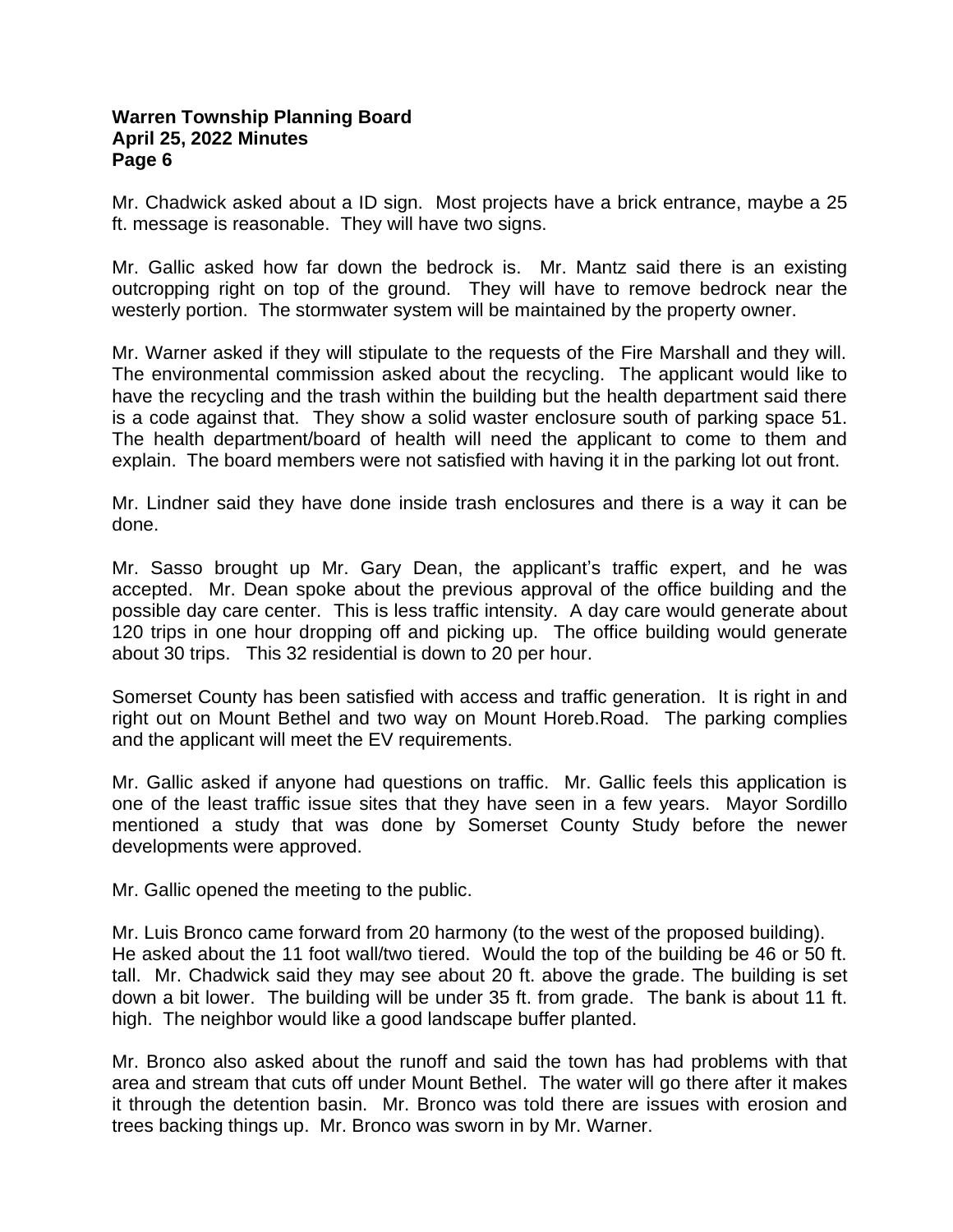Mr. Chadwick asked about a ID sign. Most projects have a brick entrance, maybe a 25 ft. message is reasonable. They will have two signs.

Mr. Gallic asked how far down the bedrock is. Mr. Mantz said there is an existing outcropping right on top of the ground. They will have to remove bedrock near the westerly portion. The stormwater system will be maintained by the property owner.

Mr. Warner asked if they will stipulate to the requests of the Fire Marshall and they will. The environmental commission asked about the recycling. The applicant would like to have the recycling and the trash within the building but the health department said there is a code against that. They show a solid waster enclosure south of parking space 51. The health department/board of health will need the applicant to come to them and explain. The board members were not satisfied with having it in the parking lot out front.

Mr. Lindner said they have done inside trash enclosures and there is a way it can be done.

Mr. Sasso brought up Mr. Gary Dean, the applicant's traffic expert, and he was accepted. Mr. Dean spoke about the previous approval of the office building and the possible day care center. This is less traffic intensity. A day care would generate about 120 trips in one hour dropping off and picking up. The office building would generate about 30 trips. This 32 residential is down to 20 per hour.

Somerset County has been satisfied with access and traffic generation. It is right in and right out on Mount Bethel and two way on Mount Horeb.Road. The parking complies and the applicant will meet the EV requirements.

Mr. Gallic asked if anyone had questions on traffic. Mr. Gallic feels this application is one of the least traffic issue sites that they have seen in a few years. Mayor Sordillo mentioned a study that was done by Somerset County Study before the newer developments were approved.

Mr. Gallic opened the meeting to the public.

Mr. Luis Bronco came forward from 20 harmony (to the west of the proposed building). He asked about the 11 foot wall/two tiered. Would the top of the building be 46 or 50 ft. tall. Mr. Chadwick said they may see about 20 ft. above the grade. The building is set down a bit lower. The building will be under 35 ft. from grade. The bank is about 11 ft. high. The neighbor would like a good landscape buffer planted.

Mr. Bronco also asked about the runoff and said the town has had problems with that area and stream that cuts off under Mount Bethel. The water will go there after it makes it through the detention basin. Mr. Bronco was told there are issues with erosion and trees backing things up. Mr. Bronco was sworn in by Mr. Warner.